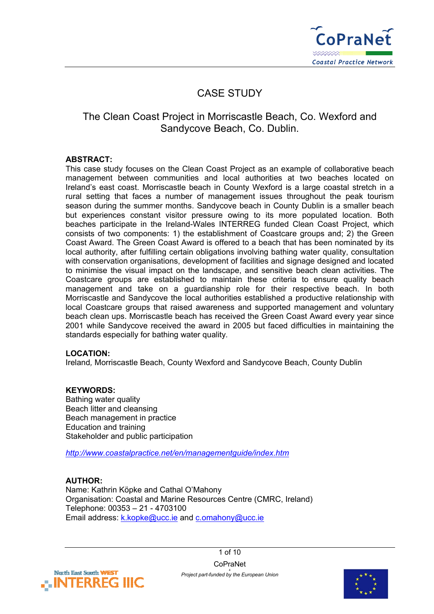

# CASE STUDY

## The Clean Coast Project in Morriscastle Beach, Co. Wexford and Sandycove Beach, Co. Dublin.

## **ABSTRACT:**

This case study focuses on the Clean Coast Project as an example of collaborative beach management between communities and local authorities at two beaches located on Ireland's east coast. Morriscastle beach in County Wexford is a large coastal stretch in a rural setting that faces a number of management issues throughout the peak tourism season during the summer months. Sandycove beach in County Dublin is a smaller beach but experiences constant visitor pressure owing to its more populated location. Both beaches participate in the Ireland-Wales INTERREG funded Clean Coast Project, which consists of two components: 1) the establishment of Coastcare groups and; 2) the Green Coast Award. The Green Coast Award is offered to a beach that has been nominated by its local authority, after fulfilling certain obligations involving bathing water quality, consultation with conservation organisations, development of facilities and signage designed and located to minimise the visual impact on the landscape, and sensitive beach clean activities. The Coastcare groups are established to maintain these criteria to ensure quality beach management and take on a guardianship role for their respective beach. In both Morriscastle and Sandycove the local authorities established a productive relationship with local Coastcare groups that raised awareness and supported management and voluntary beach clean ups. Morriscastle beach has received the Green Coast Award every year since 2001 while Sandycove received the award in 2005 but faced difficulties in maintaining the standards especially for bathing water quality*.*

## **LOCATION:**

Ireland*,* Morriscastle Beach, County Wexford and Sandycove Beach, County Dublin

## **KEYWORDS:**

Bathing water quality Beach litter and cleansing Beach management in practice Education and training Stakeholder and public participation

*<http://www.coastalpractice.net/en/managementguide/index.htm>* 

## **AUTHOR:**

Name: Kathrin Köpke and Cathal O'Mahony Organisation: Coastal and Marine Resources Centre (CMRC, Ireland) Telephone: 00353 – 21 - 4703100 Email address: [k.kopke@ucc.ie](mailto:k.kopke@ucc.ie) and [c.omahony@ucc.ie](mailto:c.omahony@ucc.ie) 

> 1 of 10 **CoPraNet**



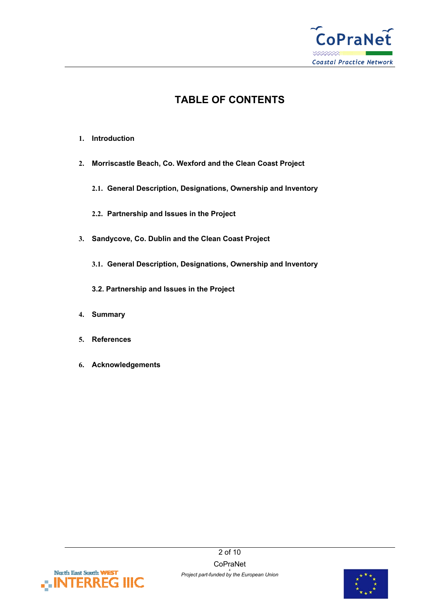

## **TABLE OF CONTENTS**

- **1. Introduction**
- **2. Morriscastle Beach, Co. Wexford and the Clean Coast Project** 
	- **2.1. General Description, Designations, Ownership and Inventory**
	- **2.2. Partnership and Issues in the Project**
- **3. Sandycove, Co. Dublin and the Clean Coast Project** 
	- **3.1. General Description, Designations, Ownership and Inventory**
	- **3.2. Partnership and Issues in the Project**
- **4. Summary**
- **5. References**
- **6. Acknowledgements**



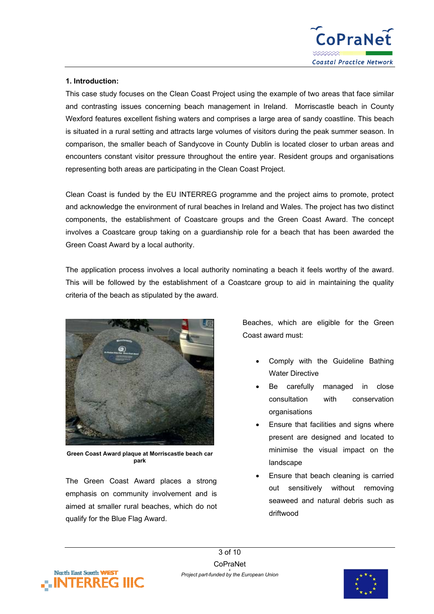

## **1. Introduction:**

This case study focuses on the Clean Coast Project using the example of two areas that face similar and contrasting issues concerning beach management in Ireland. Morriscastle beach in County Wexford features excellent fishing waters and comprises a large area of sandy coastline. This beach is situated in a rural setting and attracts large volumes of visitors during the peak summer season. In comparison, the smaller beach of Sandycove in County Dublin is located closer to urban areas and encounters constant visitor pressure throughout the entire year. Resident groups and organisations representing both areas are participating in the Clean Coast Project.

Clean Coast is funded by the EU INTERREG programme and the project aims to promote, protect and acknowledge the environment of rural beaches in Ireland and Wales. The project has two distinct components, the establishment of Coastcare groups and the Green Coast Award. The concept involves a Coastcare group taking on a guardianship role for a beach that has been awarded the Green Coast Award by a local authority.

The application process involves a local authority nominating a beach it feels worthy of the award. This will be followed by the establishment of a Coastcare group to aid in maintaining the quality criteria of the beach as stipulated by the award.



**Green Coast Award plaque at Morriscastle beach car park** 

The Green Coast Award places a strong emphasis on community involvement and is aimed at smaller rural beaches, which do not qualify for the Blue Flag Award.

Beaches, which are eligible for the Green Coast award must:

- Comply with the Guideline Bathing Water Directive
- Be carefully managed in close consultation with conservation organisations
- Ensure that facilities and signs where present are designed and located to minimise the visual impact on the landscape
- Ensure that beach cleaning is carried out sensitively without removing seaweed and natural debris such as driftwood



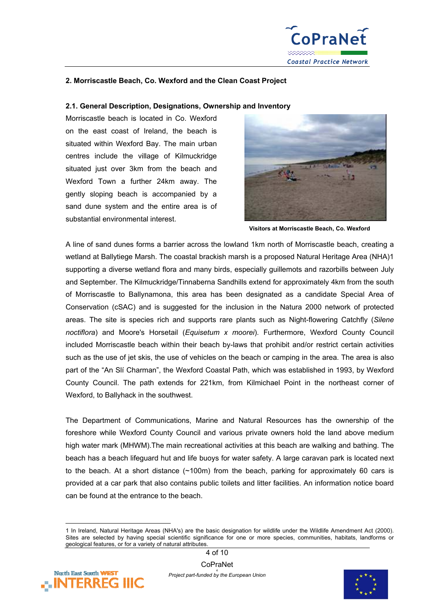

### **2. Morriscastle Beach, Co. Wexford and the Clean Coast Project**

#### **2.1. General Description, Designations, Ownership and Inventory**

Morriscastle beach is located in Co. Wexford on the east coast of Ireland, the beach is situated within Wexford Bay. The main urban centres include the village of Kilmuckridge situated just over 3km from the beach and Wexford Town a further 24km away. The gently sloping beach is accompanied by a sand dune system and the entire area is of substantial environmental interest.



**Visitors at Morriscastle Beach, Co. Wexford** 

A line of sand dunes forms a barrier across the lowland 1km north of Morriscastle beach, creating a wetland at Ballytiege Marsh. The coastal brackish marsh is a proposed Natural Heritage Area (NHA)[1](#page-3-0)  supporting a diverse wetland flora and many birds, especially guillemots and razorbills between July and September. The Kilmuckridge/Tinnaberna Sandhills extend for approximately 4km from the south of Morriscastle to Ballynamona, this area has been designated as a candidate Special Area of Conservation (cSAC) and is suggested for the inclusion in the Natura 2000 network of protected areas. The site is species rich and supports rare plants such as Night-flowering Catchfly (*Silene noctiflora*) and Moore's Horsetail (*Equisetum x moorei*). Furthermore, Wexford County Council included Morriscastle beach within their beach by-laws that prohibit and/or restrict certain activities such as the use of jet skis, the use of vehicles on the beach or camping in the area. The area is also part of the "An Slí Charman", the Wexford Coastal Path, which was established in 1993, by Wexford County Council. The path extends for 221km, from Kilmichael Point in the northeast corner of Wexford, to Ballyhack in the southwest.

The Department of Communications, Marine and Natural Resources has the ownership of the foreshore while Wexford County Council and various private owners hold the land above medium high water mark (MHWM).The main recreational activities at this beach are walking and bathing. The beach has a beach lifeguard hut and life buoys for water safety. A large caravan park is located next to the beach. At a short distance (~100m) from the beach, parking for approximately 60 cars is provided at a car park that also contains public toilets and litter facilities. An information notice board can be found at the entrance to the beach.

<sup>1</sup> In Ireland, Natural Heritage Areas (NHA's) are the basic designation for wildlife under the Wildlife Amendment Act (2000). Sites are selected by having special scientific significance for one or more species, communities, habitats, landforms or geological features, or for a variety of natural attributes.



<span id="page-3-0"></span> $\overline{a}$ 

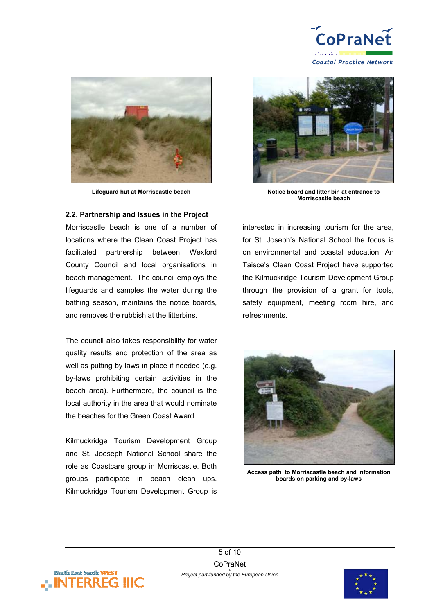



#### **2.2. Partnership and Issues in the Project**

Morriscastle beach is one of a number of locations where the Clean Coast Project has facilitated partnership between Wexford County Council and local organisations in beach management. The council employs the lifeguards and samples the water during the bathing season, maintains the notice boards, and removes the rubbish at the litterbins.

The council also takes responsibility for water quality results and protection of the area as well as putting by laws in place if needed (e.g. by-laws prohibiting certain activities in the beach area). Furthermore, the council is the local authority in the area that would nominate the beaches for the Green Coast Award.

Kilmuckridge Tourism Development Group and St. Joeseph National School share the role as Coastcare group in Morriscastle. Both groups participate in beach clean ups. Kilmuckridge Tourism Development Group is



Lifeguard hut at Morriscastle beach Notice board and litter bin at entrance to **Morriscastle beach** 

interested in increasing tourism for the area, for St. Joseph's National School the focus is on environmental and coastal education. An Taisce's Clean Coast Project have supported the Kilmuckridge Tourism Development Group through the provision of a grant for tools, safety equipment, meeting room hire, and refreshments.



**Access path to Morriscastle beach and information boards on parking and by-laws**



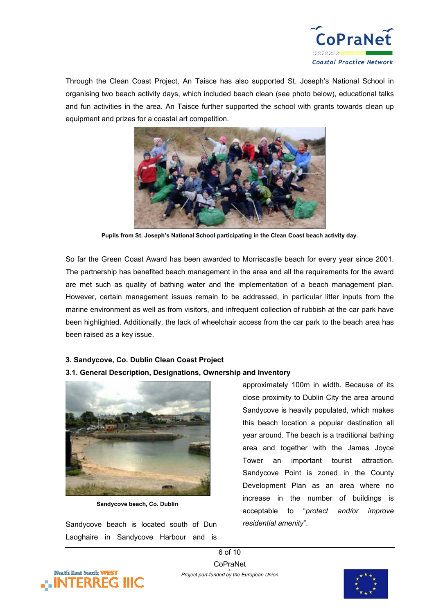

Through the Clean Coast Project, An Taisce has also supported St. Joseph's National School in organising two beach activity days, which included beach clean (see photo below), educational talks and fun activities in the area. An Taisce further supported the school with grants towards clean up equipment and prizes for a coastal art competition.



**Pupils from St. Joseph's National School participating in the Clean Coast beach activity day.**

So far the Green Coast Award has been awarded to Morriscastle beach for every year since 2001. The partnership has benefited beach management in the area and all the requirements for the award are met such as quality of bathing water and the implementation of a beach management plan. However, certain management issues remain to be addressed, in particular litter inputs from the marine environment as well as from visitors, and infrequent collection of rubbish at the car park have been highlighted. Additionally, the lack of wheelchair access from the car park to the beach area has been raised as a key issue.

#### **3. Sandycove, Co. Dublin Clean Coast Project**

#### **3.1. General Description, Designations, Ownership and Inventory**



**Sandycove beach, Co. Dublin** 

Sandycove beach is located south of Dun Laoghaire in Sandycove Harbour and is

approximately 100m in width. Because of its close proximity to Dublin City the area around Sandycove is heavily populated, which makes this beach location a popular destination all year around. The beach is a traditional bathing area and together with the James Joyce Tower an important tourist attraction. Sandycove Point is zoned in the County Development Plan as an area where no increase in the number of buildings is acceptable to "*protect and/or improve residential amenity*".



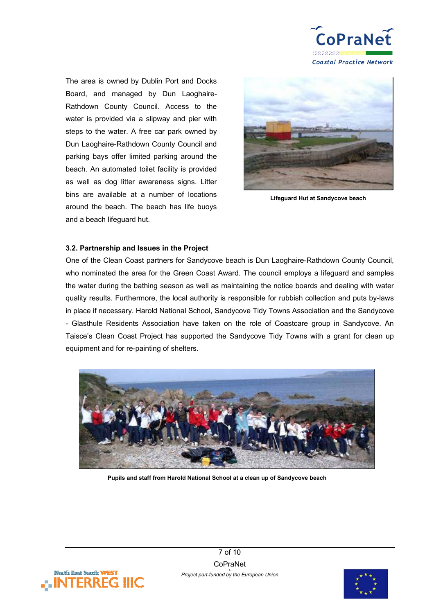

The area is owned by Dublin Port and Docks Board, and managed by Dun Laoghaire-Rathdown County Council. Access to the water is provided via a slipway and pier with steps to the water. A free car park owned by Dun Laoghaire-Rathdown County Council and parking bays offer limited parking around the beach. An automated toilet facility is provided as well as dog litter awareness signs. Litter bins are available at a number of locations around the beach. The beach has life buoys and a beach lifeguard hut.



**Lifeguard Hut at Sandycove beach** 

#### **3.2. Partnership and Issues in the Project**

One of the Clean Coast partners for Sandycove beach is Dun Laoghaire-Rathdown County Council, who nominated the area for the Green Coast Award. The council employs a lifeguard and samples the water during the bathing season as well as maintaining the notice boards and dealing with water quality results. Furthermore, the local authority is responsible for rubbish collection and puts by-laws in place if necessary. Harold National School, Sandycove Tidy Towns Association and the Sandycove - Glasthule Residents Association have taken on the role of Coastcare group in Sandycove. An Taisce's Clean Coast Project has supported the Sandycove Tidy Towns with a grant for clean up equipment and for re-painting of shelters.



**Pupils and staff from Harold National School at a clean up of Sandycove beach** 



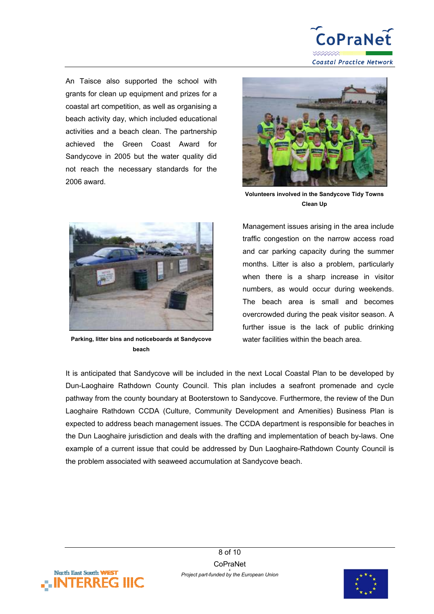

An Taisce also supported the school with grants for clean up equipment and prizes for a coastal art competition, as well as organising a beach activity day, which included educational activities and a beach clean. The partnership achieved the Green Coast Award for Sandycove in 2005 but the water quality did not reach the necessary standards for the 2006 award.



**Volunteers involved in the Sandycove Tidy Towns Clean Up**



**Parking, litter bins and noticeboards at Sandycove beach**

Management issues arising in the area include traffic congestion on the narrow access road and car parking capacity during the summer months. Litter is also a problem, particularly when there is a sharp increase in visitor numbers, as would occur during weekends. The beach area is small and becomes overcrowded during the peak visitor season. A further issue is the lack of public drinking water facilities within the beach area.

It is anticipated that Sandycove will be included in the next Local Coastal Plan to be developed by Dun-Laoghaire Rathdown County Council. This plan includes a seafront promenade and cycle pathway from the county boundary at Booterstown to Sandycove. Furthermore, the review of the Dun Laoghaire Rathdown CCDA (Culture, Community Development and Amenities) Business Plan is expected to address beach management issues. The CCDA department is responsible for beaches in the Dun Laoghaire jurisdiction and deals with the drafting and implementation of beach by-laws. One example of a current issue that could be addressed by Dun Laoghaire-Rathdown County Council is the problem associated with seaweed accumulation at Sandycove beach.



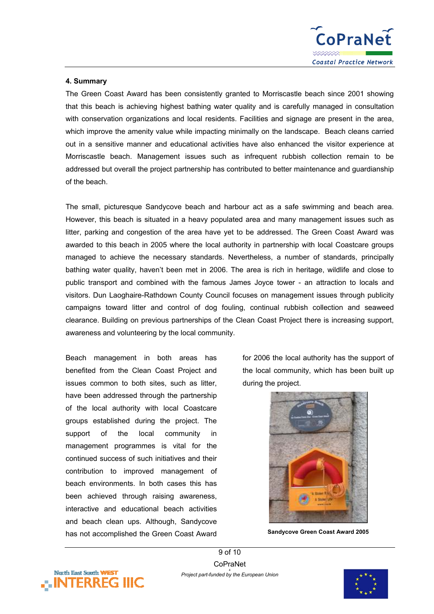

#### **4. Summary**

The Green Coast Award has been consistently granted to Morriscastle beach since 2001 showing that this beach is achieving highest bathing water quality and is carefully managed in consultation with conservation organizations and local residents. Facilities and signage are present in the area, which improve the amenity value while impacting minimally on the landscape. Beach cleans carried out in a sensitive manner and educational activities have also enhanced the visitor experience at Morriscastle beach. Management issues such as infrequent rubbish collection remain to be addressed but overall the project partnership has contributed to better maintenance and guardianship of the beach.

The small, picturesque Sandycove beach and harbour act as a safe swimming and beach area. However, this beach is situated in a heavy populated area and many management issues such as litter, parking and congestion of the area have yet to be addressed. The Green Coast Award was awarded to this beach in 2005 where the local authority in partnership with local Coastcare groups managed to achieve the necessary standards. Nevertheless, a number of standards, principally bathing water quality, haven't been met in 2006. The area is rich in heritage, wildlife and close to public transport and combined with the famous James Joyce tower - an attraction to locals and visitors. Dun Laoghaire-Rathdown County Council focuses on management issues through publicity campaigns toward litter and control of dog fouling, continual rubbish collection and seaweed clearance. Building on previous partnerships of the Clean Coast Project there is increasing support, awareness and volunteering by the local community.

Beach management in both areas has benefited from the Clean Coast Project and issues common to both sites, such as litter, have been addressed through the partnership of the local authority with local Coastcare groups established during the project. The support of the local community in management programmes is vital for the continued success of such initiatives and their contribution to improved management of beach environments. In both cases this has been achieved through raising awareness, interactive and educational beach activities and beach clean ups. Although, Sandycove has not accomplished the Green Coast Award

for 2006 the local authority has the support of the local community, which has been built up during the project.



**Sandycove Green Coast Award 2005** 

9 of 10 **CoPraNet** *Project part-funded by the European Union*